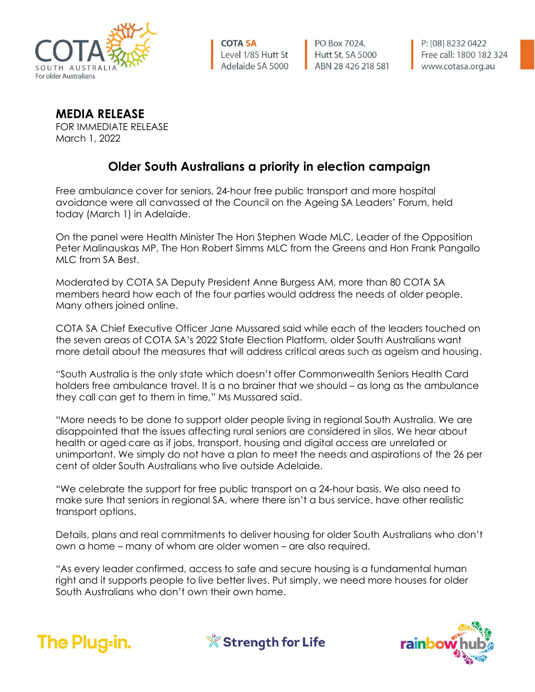

**COTA SA** Level 1/85 Hutt St Adelaide SA 5000

PO Box 7024, Hutt St, SA 5000 ABN 28 426 218 581

**MEDIA RELEASE**

FOR IMMEDIATE RELEASE March 1, 2022

## **Older South Australians a priority in election campaign**

Free ambulance cover for seniors, 24-hour free public transport and more hospital avoidance were all canvassed at the Council on the Ageing SA Leaders' Forum, held today (March 1) in Adelaide.

On the panel were Health Minister The Hon Stephen Wade MLC, Leader of the Opposition Peter Malinauskas MP, The Hon Robert Simms MLC from the Greens and Hon Frank Pangallo MLC from SA Best.

Moderated by COTA SA Deputy President Anne Burgess AM, more than 80 COTA SA members heard how each of the four parties would address the needs of older people. Many others joined online.

COTA SA Chief Executive Officer Jane Mussared said while each of the leaders touched on the seven areas of COTA SA's 2022 State Election Platform, older South Australians want more detail about the measures that will address critical areas such as ageism and housing.

"South Australia is the only state which doesn't offer Commonwealth Seniors Health Card holders free ambulance travel. It is a no brainer that we should – as long as the ambulance they call can get to them in time," Ms Mussared said.

"More needs to be done to support older people living in regional South Australia. We are disappointed that the issues affecting rural seniors are considered in silos. We hear about health or aged care as if jobs, transport, housing and digital access are unrelated or unimportant. We simply do not have a plan to meet the needs and aspirations of the 26 per cent of older South Australians who live outside Adelaide.

"We celebrate the support for free public transport on a 24-hour basis. We also need to make sure that seniors in regional SA, where there isn't a bus service, have other realistic transport options.

Details, plans and real commitments to deliver housing for older South Australians who don't own a home – many of whom are older women – are also required.

"As every leader confirmed, access to safe and secure housing is a fundamental human right and it supports people to live better lives. Put simply, we need more houses for older South Australians who don't own their own home.



**X** Strength for Life